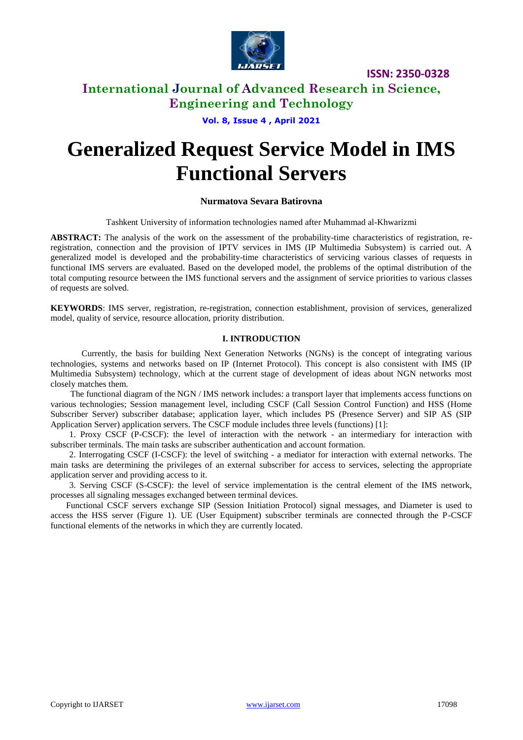

### **International Journal of Advanced Research in Science, Engineering and Technology**

**Vol. 8, Issue 4 , April 2021**

# **Generalized Request Service Model in IMS Functional Servers**

#### **Nurmatova Sevara Batirovna**

Tashkent University of information technologies named after Muhammad al-Khwarizmi

**ABSTRACT:** The analysis of the work on the assessment of the probability-time characteristics of registration, reregistration, connection and the provision of IPTV services in IMS (IP Multimedia Subsystem) is carried out. A generalized model is developed and the probability-time characteristics of servicing various classes of requests in functional IMS servers are evaluated. Based on the developed model, the problems of the optimal distribution of the total computing resource between the IMS functional servers and the assignment of service priorities to various classes of requests are solved.

**KEYWORDS**: IMS server, registration, re-registration, connection establishment, provision of services, generalized model, quality of service, resource allocation, priority distribution.

#### **I. INTRODUCTION**

Currently, the basis for building Next Generation Networks (NGNs) is the concept of integrating various technologies, systems and networks based on IP (Internet Protocol). This concept is also consistent with IMS (IP Multimedia Subsystem) technology, which at the current stage of development of ideas about NGN networks most closely matches them.

The functional diagram of the NGN / IMS network includes: a transport layer that implements access functions on various technologies; Session management level, including CSCF (Call Session Control Function) and HSS (Home Subscriber Server) subscriber database; application layer, which includes PS (Presence Server) and SIP AS (SIP Application Server) application servers. The CSCF module includes three levels (functions) [1]:

1. Proxy CSCF (P-CSCF): the level of interaction with the network - an intermediary for interaction with subscriber terminals. The main tasks are subscriber authentication and account formation.

2. Interrogating CSCF (I-CSCF): the level of switching - a mediator for interaction with external networks. The main tasks are determining the privileges of an external subscriber for access to services, selecting the appropriate application server and providing access to it.

3. Serving CSCF (S-CSCF): the level of service implementation is the central element of the IMS network, processes all signaling messages exchanged between terminal devices.

Functional CSCF servers exchange SIP (Session Initiation Protocol) signal messages, and Diameter is used to access the HSS server (Figure 1). UE (User Equipment) subscriber terminals are connected through the P-CSCF functional elements of the networks in which they are currently located.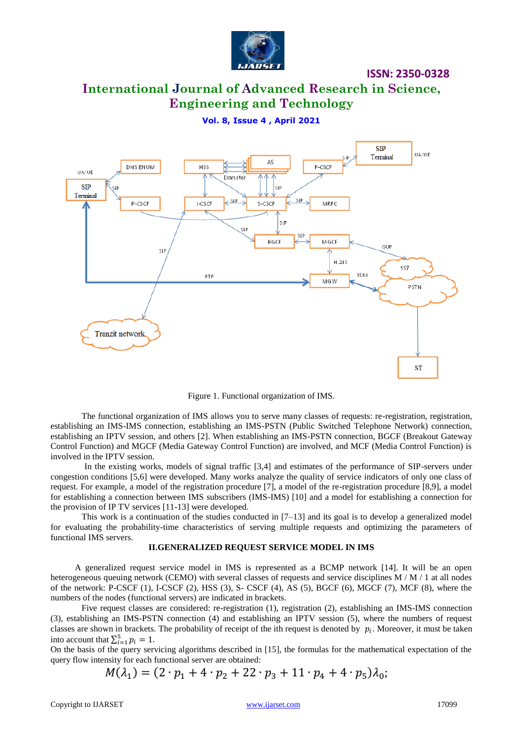

# **International Journal of Advanced Research in Science, Engineering and Technology**

**Vol. 8, Issue 4 , April 2021**



Figure 1. Functional organization of IMS.

The functional organization of IMS allows you to serve many classes of requests: re-registration, registration, establishing an IMS-IMS connection, establishing an IMS-PSTN (Public Switched Telephone Network) connection, establishing an IPTV session, and others [2]. When establishing an IMS-PSTN connection, BGCF (Breakout Gateway Control Function) and MGCF (Media Gateway Control Function) are involved, and MCF (Media Control Function) is involved in the IPTV session.

In the existing works, models of signal traffic [3,4] and estimates of the performance of SIP-servers under congestion conditions [5,6] were developed. Many works analyze the quality of service indicators of only one class of request. For example, a model of the registration procedure [7], a model of the re-registration procedure [8,9], a model for establishing a connection between IMS subscribers (IMS-IMS) [10] and a model for establishing a connection for the provision of IP TV services [11-13] were developed.

This work is a continuation of the studies conducted in  $[7-13]$  and its goal is to develop a generalized model for evaluating the probability-time characteristics of serving multiple requests and optimizing the parameters of functional IMS servers.

#### **II.GENERALIZED REQUEST SERVICE MODEL IN IMS**

A generalized request service model in IMS is represented as a BCMP network [14]. It will be an open heterogeneous queuing network (CEMO) with several classes of requests and service disciplines M / M / 1 at all nodes of the network: P-CSCF (1), I-CSCF (2), HSS (3), S- CSCF (4), AS (5), BGCF (6), MGCF (7), MCF (8), where the numbers of the nodes (functional servers) are indicated in brackets.

Five request classes are considered: re-registration (1), registration (2), establishing an IMS-IMS connection (3), establishing an IMS-PSTN connection (4) and establishing an IPTV session (5), where the numbers of request classes are shown in brackets. The probability of receipt of the ith request is denoted by  $p_i$ . Moreover, it must be taken into account that  $\sum_{i=1}^{5}$ 

On the basis of the query servicing algorithms described in [15], the formulas for the mathematical expectation of the query flow intensity for each functional server are obtained:

 $M(\lambda_1) = (2 \cdot p_1 + 4 \cdot p_2 + 22 \cdot p_3 + 11 \cdot p_4 + 4 \cdot p_5)$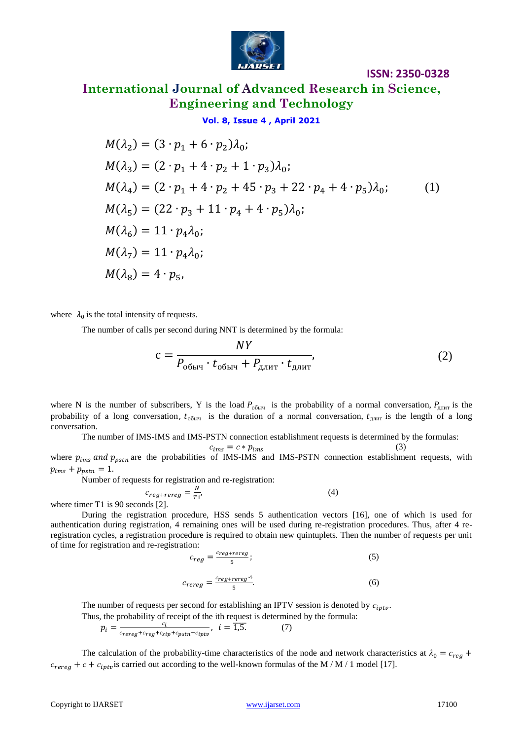

**International Journal of Advanced Research in Science, Engineering and Technology**

#### **Vol. 8, Issue 4 , April 2021**

$$
M(\lambda_2) = (3 \cdot p_1 + 6 \cdot p_2)\lambda_0;
$$
  
\n
$$
M(\lambda_3) = (2 \cdot p_1 + 4 \cdot p_2 + 1 \cdot p_3)\lambda_0;
$$
  
\n
$$
M(\lambda_4) = (2 \cdot p_1 + 4 \cdot p_2 + 45 \cdot p_3 + 22 \cdot p_4 + 4 \cdot p_5)\lambda_0;
$$
  
\n
$$
M(\lambda_5) = (22 \cdot p_3 + 11 \cdot p_4 + 4 \cdot p_5)\lambda_0;
$$
  
\n
$$
M(\lambda_6) = 11 \cdot p_4 \lambda_0;
$$
  
\n
$$
M(\lambda_7) = 11 \cdot p_4 \lambda_0;
$$
  
\n
$$
M(\lambda_8) = 4 \cdot p_5,
$$
 (1)

where  $\lambda_0$  is the total intensity of requests.

The number of calls per second during NNT is determined by the formula:

$$
c = \frac{NY}{P_{\text{obhy}} \cdot t_{\text{obhy}} + P_{\text{d,nut}} \cdot t_{\text{d,nut}}},\tag{2}
$$

where N is the number of subscribers, Y is the load  $P_{\text{obny}}$  is the probability of a normal conversation,  $P_{\text{allMT}}$  is the probability of a long conversation,  $t_{\text{obny}}$  is the duration of a normal conversation,  $t_{\text{apyn}}$  is the length of a long conversation.

The number of IMS-IMS and IMS-PSTN connection establishment requests is determined by the formulas:

where 
$$
p_{ims}
$$
 and  $p_{pstn}$  are the probabilities of IMS-IMS and IMS-PSTN connection establishment requests, with  $p_{ims} + p_{pstn} = 1$ .  $(3)$ 

Number of requests for registration and re-registration:

$$
c_{reg+rereg} = \frac{N}{T_1'}
$$
 (4) where timer T1 is 90 seconds [2].

During the registration procedure, HSS sends 5 authentication vectors [16], one of which is used for authentication during registration, 4 remaining ones will be used during re-registration procedures. Thus, after 4 reregistration cycles, a registration procedure is required to obtain new quintuplets. Then the number of requests per unit of time for registration and re-registration:

$$
c_{reg} = \frac{c_{reg+rereg}}{5};\tag{5}
$$

$$
c_{rereg} = \frac{c_{reg+rereg} \cdot 4}{5}.\tag{6}
$$

The number of requests per second for establishing an IPTV session is denoted by  $c_{iptv}$ . Thus, the probability of receipt of the ith request is determined by the formula: (7)

$$
p_i = \frac{c_i}{c_{rereg} + c_{reg} + c_{sign} + c_{iptv}}, \quad i = 1.5.
$$

The calculation of the probability-time characteristics of the node and network characteristics at  $\lambda_0 = c_{reg}$  +  $c_{rereg} + c + c_{iptv}$  is carried out according to the well-known formulas of the M / M / 1 model [17].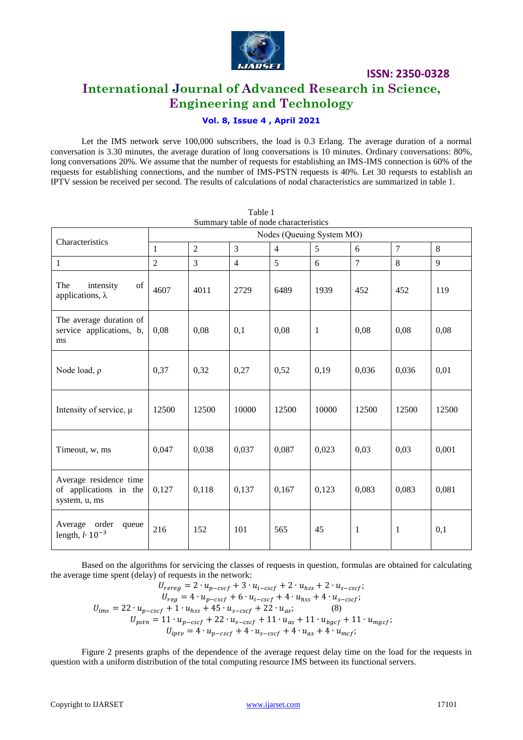

### **International Journal of Advanced Research in Science, Engineering and Technology**

### **Vol. 8, Issue 4 , April 2021**

Let the IMS network serve 100,000 subscribers, the load is 0.3 Erlang. The average duration of a normal conversation is 3.30 minutes, the average duration of long conversations is 10 minutes. Ordinary conversations: 80%, long conversations 20%. We assume that the number of requests for establishing an IMS-IMS connection is 60% of the requests for establishing connections, and the number of IMS-PSTN requests is 40%. Let 30 requests to establish an IPTV session be received per second. The results of calculations of nodal characteristics are summarized in table 1.

| Characteristics                                                   | Nodes (Queuing System MO) |                |                |                |              |                |                |       |
|-------------------------------------------------------------------|---------------------------|----------------|----------------|----------------|--------------|----------------|----------------|-------|
|                                                                   | $\mathbf{1}$              | $\overline{2}$ | $\overline{3}$ | $\overline{4}$ | 5            | 6              | $\overline{7}$ | 8     |
| $\mathbf{1}$                                                      | $\overline{2}$            | $\overline{3}$ | $\overline{4}$ | 5              | 6            | $\overline{7}$ | 8              | 9     |
| intensity<br>The<br>of<br>applications, $\lambda$                 | 4607                      | 4011           | 2729           | 6489           | 1939         | 452            | 452            | 119   |
| The average duration of<br>service applications, b,<br>ms         | 0,08                      | 0,08           | 0,1            | 0,08           | $\mathbf{1}$ | 0,08           | 0,08           | 0,08  |
| Node load, $\rho$                                                 | 0,37                      | 0,32           | 0,27           | 0,52           | 0,19         | 0,036          | 0,036          | 0,01  |
| Intensity of service, $\mu$                                       | 12500                     | 12500          | 10000          | 12500          | 10000        | 12500          | 12500          | 12500 |
| Timeout, w, ms                                                    | 0,047                     | 0,038          | 0,037          | 0,087          | 0,023        | 0,03           | 0,03           | 0,001 |
| Average residence time<br>of applications in the<br>system, u, ms | 0,127                     | 0,118          | 0,137          | 0,167          | 0,123        | 0,083          | 0,083          | 0,081 |
| Average order<br>queue<br>length, $l \cdot 10^{-3}$               | 216                       | 152            | 101            | 565            | 45           | 1              | $\mathbf{1}$   | 0,1   |

Table 1 Summary table of node characteristics

Based on the algorithms for servicing the classes of requests in question, formulas are obtained for calculating the average time spent (delay) of requests in the network:

$$
U_{rereg} = 2 \cdot u_{p-cscf} + 3 \cdot u_{i-cscf} + 2 \cdot u_{hss} + 2 \cdot u_{s-cscf};
$$
  
\n
$$
U_{reg} = 4 \cdot u_{p-cscf} + 6 \cdot u_{i-cscf} + 4 \cdot u_{hss} + 4 \cdot u_{s-cscf};
$$
  
\n
$$
U_{ims} = 22 \cdot u_{p-cscf} + 1 \cdot u_{hss} + 45 \cdot u_{s-cscf} + 22 \cdot u_{as};
$$
  
\n
$$
U_{pstn} = 11 \cdot u_{p-cscf} + 22 \cdot u_{s-cscf} + 11 \cdot u_{as} + 11 \cdot u_{bgcf} + 11 \cdot u_{mgcf};
$$
  
\n
$$
U_{iptv} = 4 \cdot u_{p-cscf} + 4 \cdot u_{s-cscf} + 4 \cdot u_{as} + 4 \cdot u_{mcf};
$$

Figure 2 presents graphs of the dependence of the average request delay time on the load for the requests in question with a uniform distribution of the total computing resource IMS between its functional servers.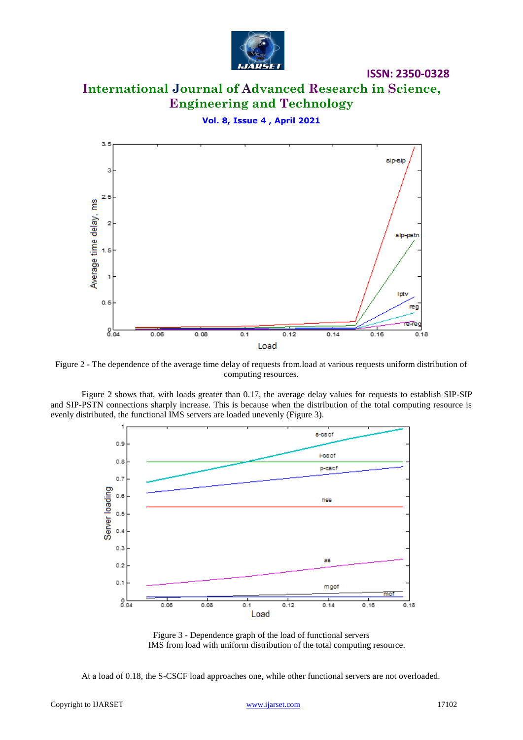

### **ISSN: 2350-0328 International Journal of Advanced Research in Science, Engineering and Technology**

**Vol. 8, Issue 4 , April 2021**  $3.5$ sip-sip з  $2.5$ Average time delay, ms 2 sip-pstn  $1.5$ 1 Iptv  $0.5$ reg re-re  $8.04$  $0.06$  $0.08$  $0.1$  $0.12$  $0.14$  $0.16$  $0.18$ Load

Figure 2 - The dependence of the average time delay of requests from.load at various requests uniform distribution of computing resources.

Figure 2 shows that, with loads greater than 0.17, the average delay values for requests to establish SIP-SIP and SIP-PSTN connections sharply increase. This is because when the distribution of the total computing resource is evenly distributed, the functional IMS servers are loaded unevenly (Figure 3).



Figure 3 - Dependence graph of the load of functional servers IMS from load with uniform distribution of the total computing resource.

At a load of 0.18, the S-CSCF load approaches one, while other functional servers are not overloaded.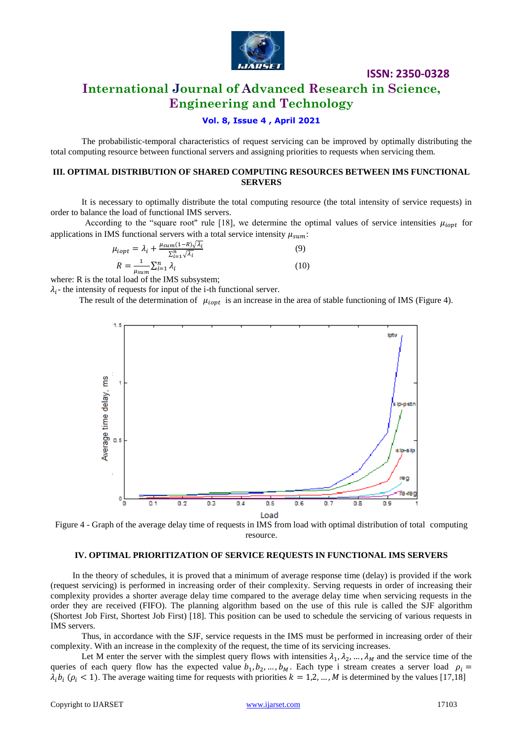

### **International Journal of Advanced Research in Science, Engineering and Technology**

#### **Vol. 8, Issue 4 , April 2021**

The probabilistic-temporal characteristics of request servicing can be improved by optimally distributing the total computing resource between functional servers and assigning priorities to requests when servicing them.

#### **III. OPTIMAL DISTRIBUTION OF SHARED COMPUTING RESOURCES BETWEEN IMS FUNCTIONAL SERVERS**

It is necessary to optimally distribute the total computing resource (the total intensity of service requests) in order to balance the load of functional IMS servers.

According to the "square root" rule [18], we determine the optimal values of service intensities  $\mu_{iont}$  for applications in IMS functional servers with a total service intensity  $\mu_{sum}$ :

$$
\mu_{iopt} = \lambda_i + \frac{\mu_{sum} (1 - R)\sqrt{\lambda_i}}{\sum_{i=1}^n \sqrt{\lambda_i}}
$$
(9)  

$$
R = \frac{1}{\mu_{sum}} \sum_{i=1}^n \lambda_i
$$
(10)

where: R is the total load of the IMS subsystem;

 $\lambda_i$ - the intensity of requests for input of the i-th functional server.

The result of the determination of  $\mu_{iopt}$  is an increase in the area of stable functioning of IMS (Figure 4).



Figure 4 - Graph of the average delay time of requests in IMS from load with optimal distribution of total computing resource.

#### **IV. OPTIMAL PRIORITIZATION OF SERVICE REQUESTS IN FUNCTIONAL IMS SERVERS**

In the theory of schedules, it is proved that a minimum of average response time (delay) is provided if the work (request servicing) is performed in increasing order of their complexity. Serving requests in order of increasing their complexity provides a shorter average delay time compared to the average delay time when servicing requests in the order they are received (FIFO). The planning algorithm based on the use of this rule is called the SJF algorithm (Shortest Job First, Shortest Job First) [18]. This position can be used to schedule the servicing of various requests in IMS servers.

Thus, in accordance with the SJF, service requests in the IMS must be performed in increasing order of their complexity. With an increase in the complexity of the request, the time of its servicing increases.

Let M enter the server with the simplest query flows with intensities  $\lambda_1, \lambda_2, ..., \lambda_M$  and the service time of the queries of each query flow has the expected value  $b_1, b_2, ..., b_M$ . Each type i stream creates a server load  $\lambda_i b_i$  ( $\rho_i$  < 1). The average waiting time for requests with priorities  $k = 1, 2, ..., M$  is determined by the values [17,18]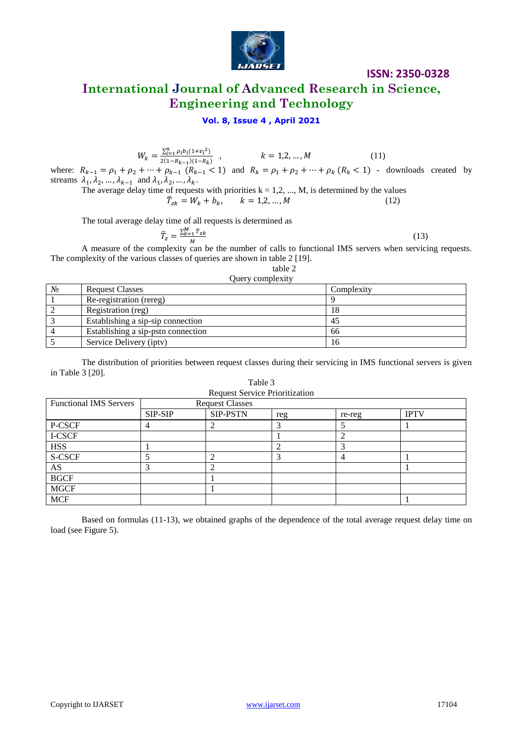

# **International Journal of Advanced Research in Science, Engineering and Technology**

### **Vol. 8, Issue 4 , April 2021**

$$
W_k = \frac{\sum_{i=1}^{n} \rho_i b_i (1 + v_i^2)}{2(1 - R_{k-1})(1 - R_k)}, \qquad k = 1, 2, ..., M
$$
 (11)

where:  $R_{k-1} = \rho_1 + \rho_2 + \dots + \rho_{k-1}$   $(R_{k-1} < 1)$  and  $R_k = \rho_1 + \rho_2 + \dots + \rho_k$   $(R_k < 1)$  - downloads created by streams  $\lambda_1, \lambda_2, ..., \lambda_{k-1}$  and  $\lambda_1, \lambda_2, ..., \lambda_k$ .

The average delay time of requests with priorities  $k = 1, 2, ..., M$ , is determined by the values

$$
\bar{T}_{zk} = W_k + b_k, \qquad k = 1, 2, ..., M
$$
\n(12)

The total average delay time of all requests is determined as

$$
\overline{T}_z = \frac{\sum_{k=1}^{M} \overline{T}_{zk}}{M} \tag{13}
$$

A measure of the complexity can be the number of calls to functional IMS servers when servicing requests. The complexity of the various classes of queries are shown in table 2 [19].

table 2

#### Query complexity

| $N_2$ | <b>Request Classes</b>             | Complexity |
|-------|------------------------------------|------------|
|       | Re-registration (rereg)            |            |
|       | Registration (reg)                 | 18         |
|       | Establishing a sip-sip connection  | 45         |
|       | Establishing a sip-pstn connection | 66         |
|       | Service Delivery (iptv)            | 16         |

The distribution of priorities between request classes during their servicing in IMS functional servers is given in Table 3 [20].

| <b>Functional IMS Servers</b> | <b>Request Classes</b> |                 |     |        |             |  |  |  |
|-------------------------------|------------------------|-----------------|-----|--------|-------------|--|--|--|
|                               | SIP-SIP                | <b>SIP-PSTN</b> | reg | re-reg | <b>IPTV</b> |  |  |  |
| P-CSCF                        |                        |                 |     |        |             |  |  |  |
| I-CSCF                        |                        |                 |     |        |             |  |  |  |
| <b>HSS</b>                    |                        |                 |     |        |             |  |  |  |
| S-CSCF                        |                        |                 |     |        |             |  |  |  |
| AS                            |                        |                 |     |        |             |  |  |  |
| <b>BGCF</b>                   |                        |                 |     |        |             |  |  |  |
| <b>MGCF</b>                   |                        |                 |     |        |             |  |  |  |
| <b>MCF</b>                    |                        |                 |     |        |             |  |  |  |

Based on formulas (11-13), we obtained graphs of the dependence of the total average request delay time on load (see Figure 5).

Table 3 Request Service Prioritization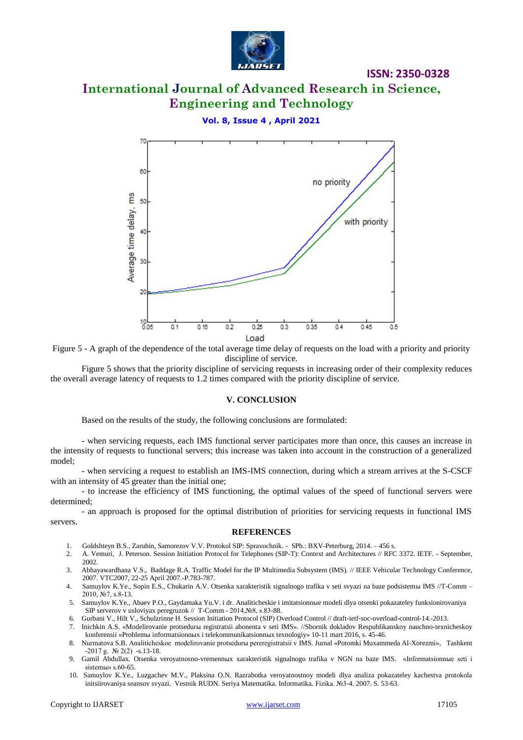

# **International Journal of Advanced Research in Science, Engineering and Technology**

### **Vol. 8, Issue 4 , April 2021**



Figure 5 - A graph of the dependence of the total average time delay of requests on the load with a priority and priority discipline of service.

Figure 5 shows that the priority discipline of servicing requests in increasing order of their complexity reduces the overall average latency of requests to 1.2 times compared with the priority discipline of service.

#### **V. CONCLUSION**

Based on the results of the study, the following conclusions are formulated:

- when servicing requests, each IMS functional server participates more than once, this causes an increase in the intensity of requests to functional servers; this increase was taken into account in the construction of a generalized model;

- when servicing a request to establish an IMS-IMS connection, during which a stream arrives at the S-CSCF with an intensity of 45 greater than the initial one;

- to increase the efficiency of IMS functioning, the optimal values of the speed of functional servers were determined;

- an approach is proposed for the optimal distribution of priorities for servicing requests in functional IMS servers.

#### **REFERENCES**

- 1. Goldshteyn B.S., Zarubin, Samorezov V.V. Protokol SIP: Spravochnik. SPb.: BXV-Peterburg, 2014. 456 s.
- 2. A. Vemuri, J. Peterson. Session Initiation Protocol for Telephones (SIP-T): Context and Architectures // RFC 3372. IETF. September, 2002.
- 3. Abhayawardhana V.S., Baddage R.A. Traffic Model for the IP Multimedia Subsystem (IMS). // IEEE Vehicular Technology Conference, 2007. VTC2007, 22-25 April 2007.-P.783-787.
- 4. Samuylov K.Ye., Sopin E.S., Chukarin A.V. Otsenka xarakteristik signalnogo trafika v seti svyazi na baze podsistem IMS //T-Comm 2010, №7, s.8-13.
- 5. Samuylov K.Ye., Abaev P.O., Gaydamaka Yu.V. i dr. Analiticheskie i imitatsionn e modeli dlya otsenki pokazateley funksionirovaniya SIP serverov v usloviyax peregruzok // T-Comm - 2014,№8, s.83-88.
- 6. Gurbani V., Hilt V., Schulzrinne H. Session Initiation Protocol (SIP) Overload Control // draft-ietf-soc-overload-control-14.-2013.
- 7. Inichkin A.S. «Modelirovanie protsedurn registratsii abonenta v seti IMS». //Sbornik dokladov Respublikanskoy nauchno-texnicheskoy
- konferensii «Problem informatsionn k i telekommunikatsionn k texnologiy» 10-11 mart 2016, s. 45-46. 8. Nurmatova S.B. Analiticheskoe modelirovanie protsedur pereregistratsii v IMS. Jurnal «Potomki Muxammeda Al-Xorezmi», Tashkent
- $-2017$  g.  $\mathcal{N}$ <sup>o</sup> 2(2)  $-$ s.13-18. 9. Gamil Abdullax. Otsenka veroyatnosno-vremennыx xarakteristik signalnogo trafika v NGN na baze IMS. «Informatsionnыe seti i sistemы» s.60-65.
- 10. Samuylov K.Ye., Luzgachev M.V., Plaksina O.N. Razrabotka veroyatnostnoy modeli dlya analiza pokazateley kachestva protokola initsiirovaniya seansov svyazi. Vestnik RUDN. Seriya Matematika. Informatika. Fizika. №3-4. 2007. S. 53-63.